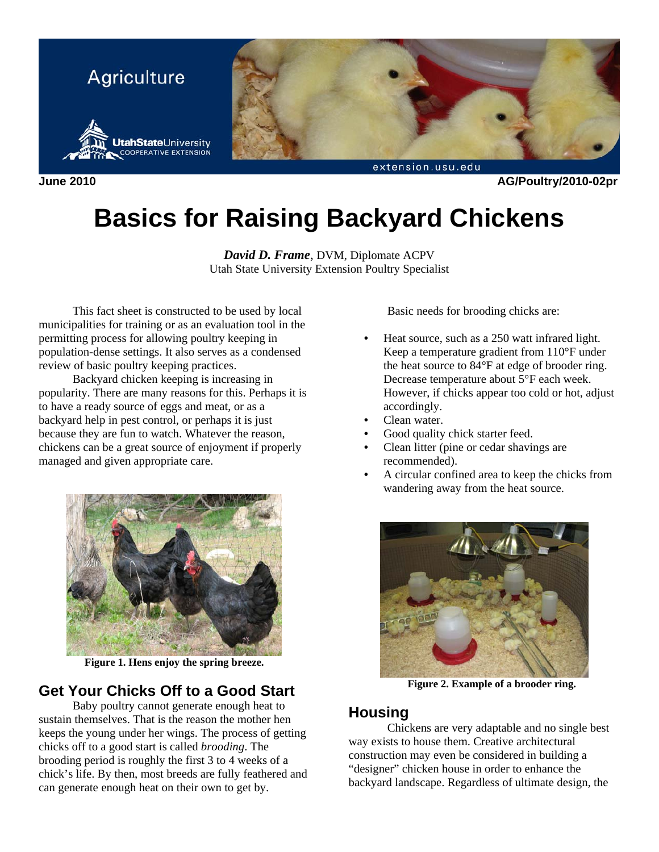

**June 2010 AG/Poultry/2010-02pr** 

# **Basics for Raising Backyard Chickens**

*David D. Frame*, DVM, Diplomate ACPV Utah State University Extension Poultry Specialist

This fact sheet is constructed to be used by local municipalities for training or as an evaluation tool in the permitting process for allowing poultry keeping in population-dense settings. It also serves as a condensed review of basic poultry keeping practices.

Backyard chicken keeping is increasing in popularity. There are many reasons for this. Perhaps it is to have a ready source of eggs and meat, or as a backyard help in pest control, or perhaps it is just because they are fun to watch. Whatever the reason, chickens can be a great source of enjoyment if properly managed and given appropriate care.



**Figure 1. Hens enjoy the spring breeze.** 

# **Get Your Chicks Off to a Good Start**

Baby poultry cannot generate enough heat to sustain themselves. That is the reason the mother hen keeps the young under her wings. The process of getting chicks off to a good start is called *brooding*. The brooding period is roughly the first 3 to 4 weeks of a chick's life. By then, most breeds are fully feathered and can generate enough heat on their own to get by.

Basic needs for brooding chicks are:

- Heat source, such as a 250 watt infrared light. Keep a temperature gradient from 110°F under the heat source to 84°F at edge of brooder ring. Decrease temperature about 5°F each week. However, if chicks appear too cold or hot, adjust accordingly.
- Clean water.
- Good quality chick starter feed.
- Clean litter (pine or cedar shavings are recommended).
- A circular confined area to keep the chicks from wandering away from the heat source.



**Figure 2. Example of a brooder ring.** 

### **Housing**

Chickens are very adaptable and no single best way exists to house them. Creative architectural construction may even be considered in building a "designer" chicken house in order to enhance the backyard landscape. Regardless of ultimate design, the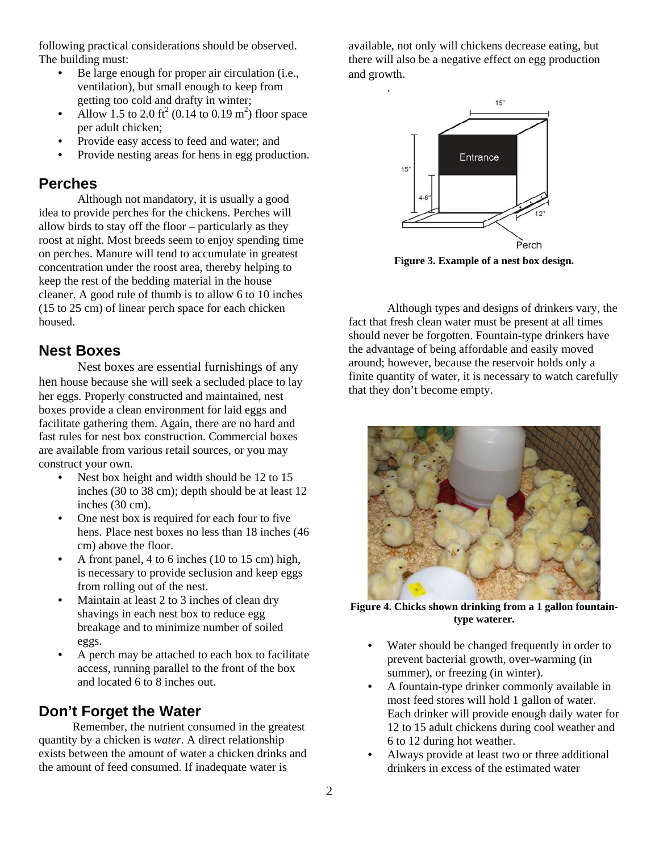following practical considerations should be observed. The building must:

- Be large enough for proper air circulation (i.e., ventilation), but small enough to keep from getting too cold and drafty in winter;
- Allow 1.5 to 2.0 ft<sup>2</sup> (0.14 to 0.19 m<sup>2</sup>) floor space per adult chicken;
- Provide easy access to feed and water; and
- Provide nesting areas for hens in egg production.

## **Perches**

Although not mandatory, it is usually a good idea to provide perches for the chickens. Perches will allow birds to stay off the floor – particularly as they roost at night. Most breeds seem to enjoy spending time on perches. Manure will tend to accumulate in greatest concentration under the roost area, thereby helping to keep the rest of the bedding material in the house cleaner. A good rule of thumb is to allow 6 to 10 inches (15 to 25 cm) of linear perch space for each chicken housed.

# **Nest Boxes**

Nest boxes are essential furnishings of any hen house because she will seek a secluded place to lay her eggs. Properly constructed and maintained, nest boxes provide a clean environment for laid eggs and facilitate gathering them. Again, there are no hard and fast rules for nest box construction. Commercial boxes are available from various retail sources, or you may construct your own.

- Nest box height and width should be 12 to 15 inches (30 to 38 cm); depth should be at least 12 inches (30 cm).
- One nest box is required for each four to five hens. Place nest boxes no less than 18 inches (46 cm) above the floor.
- A front panel, 4 to 6 inches (10 to 15 cm) high, is necessary to provide seclusion and keep eggs from rolling out of the nest.
- Maintain at least 2 to 3 inches of clean dry shavings in each nest box to reduce egg breakage and to minimize number of soiled eggs.
- A perch may be attached to each box to facilitate access, running parallel to the front of the box and located 6 to 8 inches out.

# **Don't Forget the Water**

Remember, the nutrient consumed in the greatest quantity by a chicken is *water*. A direct relationship exists between the amount of water a chicken drinks and the amount of feed consumed. If inadequate water is

available, not only will chickens decrease eating, but there will also be a negative effect on egg production and growth.



**Figure 3. Example of a nest box design.** 

Although types and designs of drinkers vary, the fact that fresh clean water must be present at all times should never be forgotten. Fountain-type drinkers have the advantage of being affordable and easily moved around; however, because the reservoir holds only a finite quantity of water, it is necessary to watch carefully that they don't become empty.



**Figure 4. Chicks shown drinking from a 1 gallon fountaintype waterer.** 

- Water should be changed frequently in order to prevent bacterial growth, over-warming (in summer), or freezing (in winter).
- A fountain-type drinker commonly available in most feed stores will hold 1 gallon of water. Each drinker will provide enough daily water for 12 to 15 adult chickens during cool weather and 6 to 12 during hot weather.
- Always provide at least two or three additional drinkers in excess of the estimated water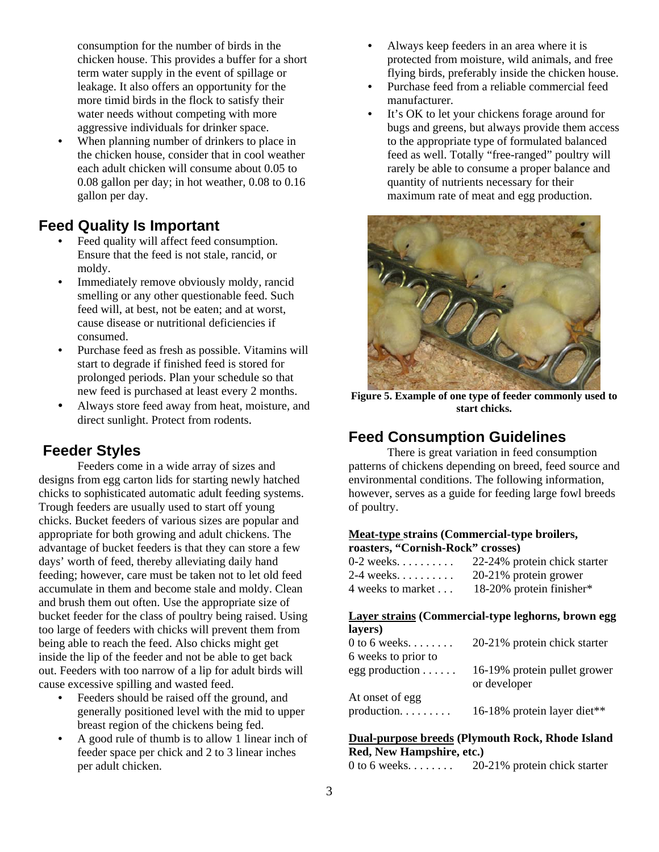consumption for the number of birds in the chicken house. This provides a buffer for a short term water supply in the event of spillage or leakage. It also offers an opportunity for the more timid birds in the flock to satisfy their water needs without competing with more aggressive individuals for drinker space.

When planning number of drinkers to place in the chicken house, consider that in cool weather each adult chicken will consume about 0.05 to 0.08 gallon per day; in hot weather, 0.08 to 0.16 gallon per day.

# **Feed Quality Is Important**

- Feed quality will affect feed consumption. Ensure that the feed is not stale, rancid, or moldy.
- Immediately remove obviously moldy, rancid smelling or any other questionable feed. Such feed will, at best, not be eaten; and at worst, cause disease or nutritional deficiencies if consumed.
- Purchase feed as fresh as possible. Vitamins will start to degrade if finished feed is stored for prolonged periods. Plan your schedule so that new feed is purchased at least every 2 months.
- Always store feed away from heat, moisture, and direct sunlight. Protect from rodents.

# **Feeder Styles**

Feeders come in a wide array of sizes and designs from egg carton lids for starting newly hatched chicks to sophisticated automatic adult feeding systems. Trough feeders are usually used to start off young chicks. Bucket feeders of various sizes are popular and appropriate for both growing and adult chickens. The advantage of bucket feeders is that they can store a few days' worth of feed, thereby alleviating daily hand feeding; however, care must be taken not to let old feed accumulate in them and become stale and moldy. Clean and brush them out often. Use the appropriate size of bucket feeder for the class of poultry being raised. Using too large of feeders with chicks will prevent them from being able to reach the feed. Also chicks might get inside the lip of the feeder and not be able to get back out. Feeders with too narrow of a lip for adult birds will cause excessive spilling and wasted feed.

- Feeders should be raised off the ground, and generally positioned level with the mid to upper breast region of the chickens being fed.
- A good rule of thumb is to allow 1 linear inch of feeder space per chick and 2 to 3 linear inches per adult chicken.
- Always keep feeders in an area where it is protected from moisture, wild animals, and free flying birds, preferably inside the chicken house.
- Purchase feed from a reliable commercial feed manufacturer.
- It's OK to let your chickens forage around for bugs and greens, but always provide them access to the appropriate type of formulated balanced feed as well. Totally "free-ranged" poultry will rarely be able to consume a proper balance and quantity of nutrients necessary for their maximum rate of meat and egg production.



**Figure 5. Example of one type of feeder commonly used to start chicks.** 

# **Feed Consumption Guidelines**

There is great variation in feed consumption patterns of chickens depending on breed, feed source and environmental conditions. The following information, however, serves as a guide for feeding large fowl breeds of poultry.

# **Meat-type strains (Commercial-type broilers,**

**roasters, "Cornish-Rock" crosses)** 

| $0-2$ weeks       | 22-24% protein chick starter |
|-------------------|------------------------------|
| $2-4$ weeks       | 20-21% protein grower        |
| 4 weeks to market | 18-20% protein finisher*     |

#### **Layer strains (Commercial-type leghorns, brown egg layers)**

| $0$ to 6 weeks.             | 20-21% protein chick starter                 |
|-----------------------------|----------------------------------------------|
| 6 weeks to prior to         |                                              |
| $egg$ production $\ldots$ . | 16-19% protein pullet grower<br>or developer |
| At onset of egg             |                                              |
| $production. \ldots \ldots$ | 16-18% protein layer diet**                  |

#### **Dual-purpose breeds (Plymouth Rock, Rhode Island Red, New Hampshire, etc.)**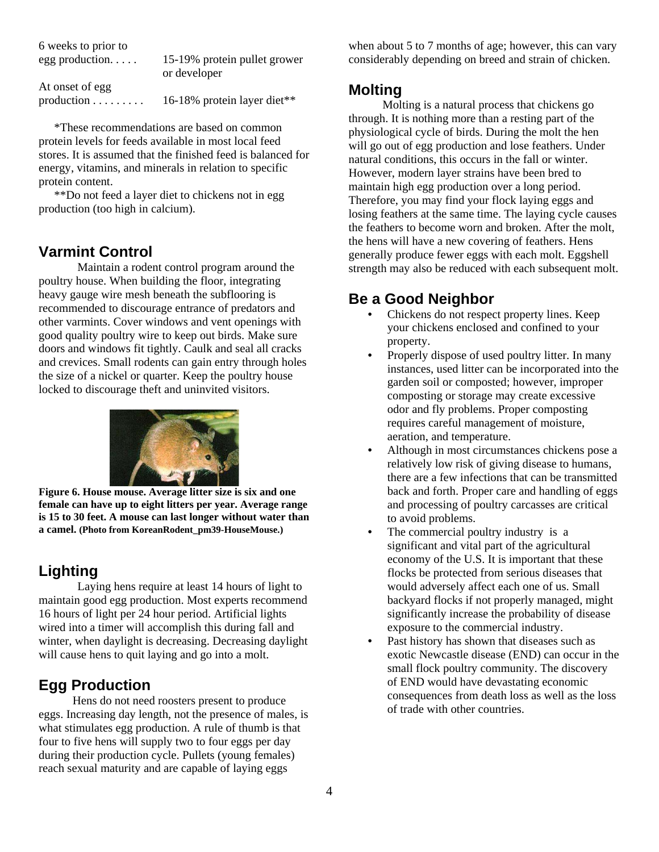| 6 weeks to prior to        |                                              |
|----------------------------|----------------------------------------------|
| $egg$ production           | 15-19% protein pullet grower<br>or developer |
| At onset of egg            |                                              |
| $production \ldots \ldots$ | 16-18% protein layer diet**                  |

\*These recommendations are based on common protein levels for feeds available in most local feed stores. It is assumed that the finished feed is balanced for energy, vitamins, and minerals in relation to specific protein content.

\*\*Do not feed a layer diet to chickens not in egg production (too high in calcium).

### **Varmint Control**

Maintain a rodent control program around the poultry house. When building the floor, integrating heavy gauge wire mesh beneath the subflooring is recommended to discourage entrance of predators and other varmints. Cover windows and vent openings with good quality poultry wire to keep out birds. Make sure doors and windows fit tightly. Caulk and seal all cracks and crevices. Small rodents can gain entry through holes the size of a nickel or quarter. Keep the poultry house locked to discourage theft and uninvited visitors.



**Figure 6. House mouse. Average litter size is six and one female can have up to eight litters per year. Average range is 15 to 30 feet. A mouse can last longer without water than a camel. (Photo from KoreanRodent\_pm39-HouseMouse.)** 

# **Lighting**

Laying hens require at least 14 hours of light to maintain good egg production. Most experts recommend 16 hours of light per 24 hour period. Artificial lights wired into a timer will accomplish this during fall and winter, when daylight is decreasing. Decreasing daylight will cause hens to quit laying and go into a molt.

# **Egg Production**

Hens do not need roosters present to produce eggs. Increasing day length, not the presence of males, is what stimulates egg production. A rule of thumb is that four to five hens will supply two to four eggs per day during their production cycle. Pullets (young females) reach sexual maturity and are capable of laying eggs

when about 5 to 7 months of age; however, this can vary considerably depending on breed and strain of chicken.

## **Molting**

Molting is a natural process that chickens go through. It is nothing more than a resting part of the physiological cycle of birds. During the molt the hen will go out of egg production and lose feathers. Under natural conditions, this occurs in the fall or winter. However, modern layer strains have been bred to maintain high egg production over a long period. Therefore, you may find your flock laying eggs and losing feathers at the same time. The laying cycle causes the feathers to become worn and broken. After the molt, the hens will have a new covering of feathers. Hens generally produce fewer eggs with each molt. Eggshell strength may also be reduced with each subsequent molt.

# **Be a Good Neighbor**

- Chickens do not respect property lines. Keep your chickens enclosed and confined to your property.
- Properly dispose of used poultry litter. In many instances, used litter can be incorporated into the garden soil or composted; however, improper composting or storage may create excessive odor and fly problems. Proper composting requires careful management of moisture, aeration, and temperature.
- Although in most circumstances chickens pose a relatively low risk of giving disease to humans, there are a few infections that can be transmitted back and forth. Proper care and handling of eggs and processing of poultry carcasses are critical to avoid problems.
- The commercial poultry industry is a significant and vital part of the agricultural economy of the U.S. It is important that these flocks be protected from serious diseases that would adversely affect each one of us. Small backyard flocks if not properly managed, might significantly increase the probability of disease exposure to the commercial industry.
- Past history has shown that diseases such as exotic Newcastle disease (END) can occur in the small flock poultry community. The discovery of END would have devastating economic consequences from death loss as well as the loss of trade with other countries.